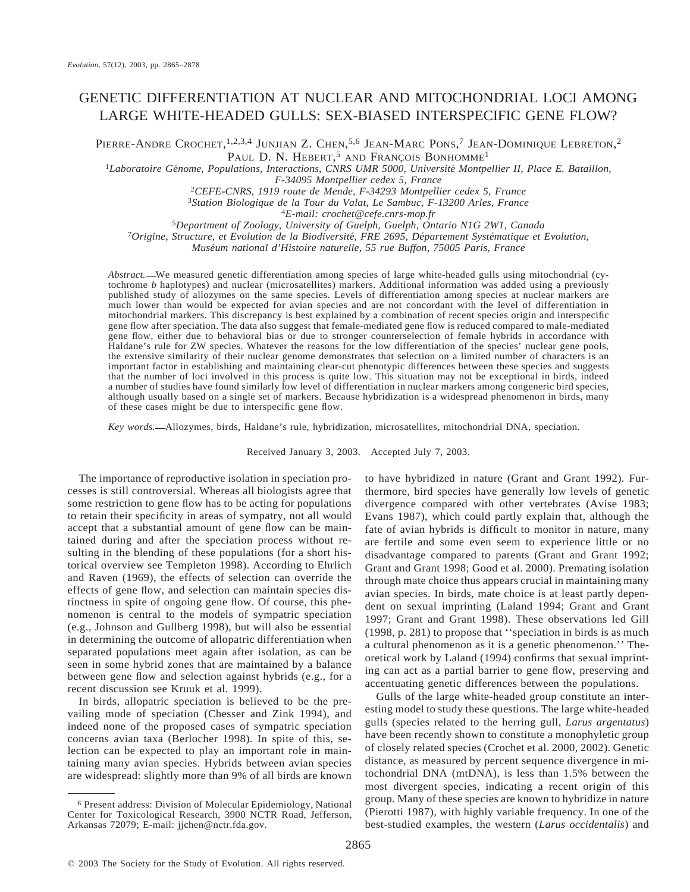# GENETIC DIFFERENTIATION AT NUCLEAR AND MITOCHONDRIAL LOCI AMONG LARGE WHITE-HEADED GULLS: SEX-BIASED INTERSPECIFIC GENE FLOW?

PIERRE-ANDRE CROCHET,<sup>1,2,3,4</sup> JUNJIAN Z. CHEN,<sup>5,6</sup> JEAN-MARC PONS,<sup>7</sup> JEAN-DOMINIQUE LEBRETON,<sup>2</sup> PAUL D. N. HEBERT,<sup>5</sup> AND FRANÇOIS BONHOMME<sup>1</sup>

<sup>1</sup>Laboratoire Génome, Populations, Interactions, CNRS UMR 5000, Université Montpellier II, Place E. Bataillon,

*F-34095 Montpellier cedex 5, France* <sup>2</sup>*CEFE-CNRS, 1919 route de Mende, F-34293 Montpellier cedex 5, France*

<sup>4</sup>E-mail: crochet@cefe.cnrs-mop.fr<br><sup>5</sup>Department of Zoology, University of Guelph, Guelph, Ontario NIG 2W1, Canada<br><sup>7</sup>Origine, Structure, et Evolution de la Biodiversité, FRE 2695, Département Systématique et Evolution,

*Muse´um national d'Histoire naturelle, 55 rue Buffon, 75005 Paris, France*

*Abstract.* We measured genetic differentiation among species of large white-headed gulls using mitochondrial (cytochrome *b* haplotypes) and nuclear (microsatellites) markers. Additional information was added using a previously published study of allozymes on the same species. Levels of differentiation among species at nuclear markers are much lower than would be expected for avian species and are not concordant with the level of differentiation in mitochondrial markers. This discrepancy is best explained by a combination of recent species origin and interspecific gene flow after speciation. The data also suggest that female-mediated gene flow is reduced compared to male-mediated gene flow, either due to behavioral bias or due to stronger counterselection of female hybrids in accordance with Haldane's rule for ZW species. Whatever the reasons for the low differentiation of the species' nuclear gene pools, the extensive similarity of their nuclear genome demonstrates that selection on a limited number of characters is an important factor in establishing and maintaining clear-cut phenotypic differences between these species and suggests that the number of loci involved in this process is quite low. This situation may not be exceptional in birds, indeed a number of studies have found similarly low level of differentiation in nuclear markers among congeneric bird species, although usually based on a single set of markers. Because hybridization is a widespread phenomenon in birds, many of these cases might be due to interspecific gene flow.

*Key words.* Allozymes, birds, Haldane's rule, hybridization, microsatellites, mitochondrial DNA, speciation.

Received January 3, 2003. Accepted July 7, 2003.

The importance of reproductive isolation in speciation processes is still controversial. Whereas all biologists agree that some restriction to gene flow has to be acting for populations to retain their specificity in areas of sympatry, not all would accept that a substantial amount of gene flow can be maintained during and after the speciation process without resulting in the blending of these populations (for a short historical overview see Templeton 1998). According to Ehrlich and Raven (1969), the effects of selection can override the effects of gene flow, and selection can maintain species distinctness in spite of ongoing gene flow. Of course, this phenomenon is central to the models of sympatric speciation (e.g., Johnson and Gullberg 1998), but will also be essential in determining the outcome of allopatric differentiation when separated populations meet again after isolation, as can be seen in some hybrid zones that are maintained by a balance between gene flow and selection against hybrids (e.g., for a recent discussion see Kruuk et al. 1999).

In birds, allopatric speciation is believed to be the prevailing mode of speciation (Chesser and Zink 1994), and indeed none of the proposed cases of sympatric speciation concerns avian taxa (Berlocher 1998). In spite of this, selection can be expected to play an important role in maintaining many avian species. Hybrids between avian species are widespread: slightly more than 9% of all birds are known thermore, bird species have generally low levels of genetic divergence compared with other vertebrates (Avise 1983; Evans 1987), which could partly explain that, although the fate of avian hybrids is difficult to monitor in nature, many are fertile and some even seem to experience little or no disadvantage compared to parents (Grant and Grant 1992; Grant and Grant 1998; Good et al. 2000). Premating isolation through mate choice thus appears crucial in maintaining many avian species. In birds, mate choice is at least partly dependent on sexual imprinting (Laland 1994; Grant and Grant 1997; Grant and Grant 1998). These observations led Gill (1998, p. 281) to propose that ''speciation in birds is as much a cultural phenomenon as it is a genetic phenomenon.'' Theoretical work by Laland (1994) confirms that sexual imprinting can act as a partial barrier to gene flow, preserving and accentuating genetic differences between the populations.

to have hybridized in nature (Grant and Grant 1992). Fur-

Gulls of the large white-headed group constitute an interesting model to study these questions. The large white-headed gulls (species related to the herring gull, *Larus argentatus*) have been recently shown to constitute a monophyletic group of closely related species (Crochet et al. 2000, 2002). Genetic distance, as measured by percent sequence divergence in mitochondrial DNA (mtDNA), is less than 1.5% between the most divergent species, indicating a recent origin of this group. Many of these species are known to hybridize in nature (Pierotti 1987), with highly variable frequency. In one of the best-studied examples, the western (*Larus occidentalis*) and

<sup>6</sup> Present address: Division of Molecular Epidemiology, National Center for Toxicological Research, 3900 NCTR Road, Jefferson, Arkansas 72079; E-mail: jjchen@nctr.fda.gov.

 $Q$  2003 The Society for the Study of Evolution. All rights reserved.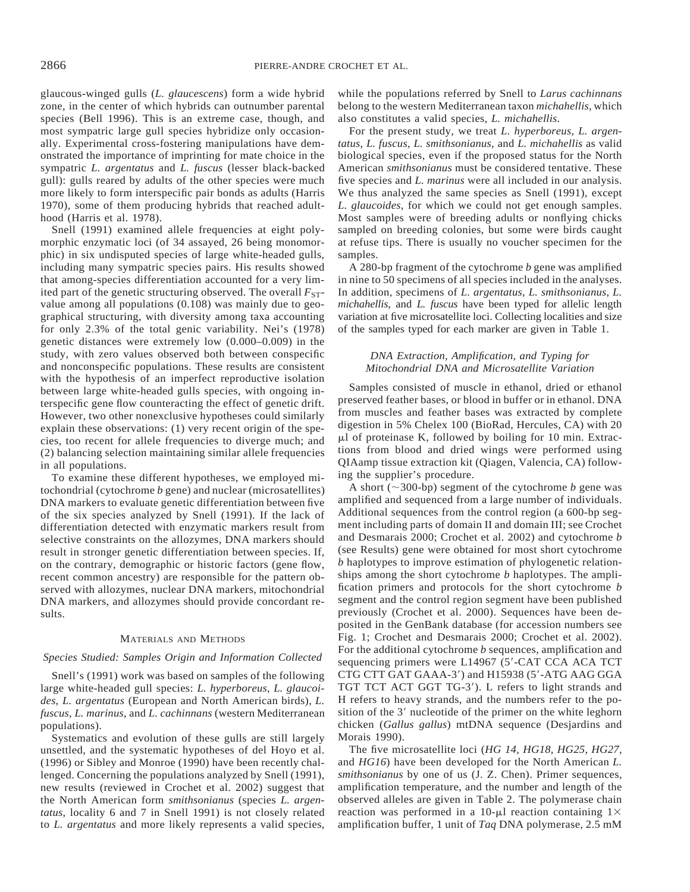glaucous-winged gulls (*L. glaucescens*) form a wide hybrid zone, in the center of which hybrids can outnumber parental species (Bell 1996). This is an extreme case, though, and most sympatric large gull species hybridize only occasionally. Experimental cross-fostering manipulations have demonstrated the importance of imprinting for mate choice in the sympatric *L. argentatus* and *L. fuscus* (lesser black-backed gull): gulls reared by adults of the other species were much more likely to form interspecific pair bonds as adults (Harris 1970), some of them producing hybrids that reached adulthood (Harris et al. 1978).

Snell (1991) examined allele frequencies at eight polymorphic enzymatic loci (of 34 assayed, 26 being monomorphic) in six undisputed species of large white-headed gulls, including many sympatric species pairs. His results showed that among-species differentiation accounted for a very limited part of the genetic structuring observed. The overall  $F_{ST}$ value among all populations (0.108) was mainly due to geographical structuring, with diversity among taxa accounting for only 2.3% of the total genic variability. Nei's (1978) genetic distances were extremely low (0.000–0.009) in the study, with zero values observed both between conspecific and nonconspecific populations. These results are consistent with the hypothesis of an imperfect reproductive isolation between large white-headed gulls species, with ongoing interspecific gene flow counteracting the effect of genetic drift. However, two other nonexclusive hypotheses could similarly explain these observations: (1) very recent origin of the species, too recent for allele frequencies to diverge much; and (2) balancing selection maintaining similar allele frequencies in all populations.

To examine these different hypotheses, we employed mitochondrial (cytochrome *b* gene) and nuclear (microsatellites) DNA markers to evaluate genetic differentiation between five of the six species analyzed by Snell (1991). If the lack of differentiation detected with enzymatic markers result from selective constraints on the allozymes, DNA markers should result in stronger genetic differentiation between species. If, on the contrary, demographic or historic factors (gene flow, recent common ancestry) are responsible for the pattern observed with allozymes, nuclear DNA markers, mitochondrial DNA markers, and allozymes should provide concordant results.

# MATERIALS AND METHODS

# *Species Studied: Samples Origin and Information Collected*

Snell's (1991) work was based on samples of the following large white-headed gull species: *L. hyperboreus*, *L. glaucoides*, *L. argentatus* (European and North American birds), *L. fuscus*, *L. marinus*, and *L. cachinnans* (western Mediterranean populations).

Systematics and evolution of these gulls are still largely unsettled, and the systematic hypotheses of del Hoyo et al. (1996) or Sibley and Monroe (1990) have been recently challenged. Concerning the populations analyzed by Snell (1991), new results (reviewed in Crochet et al. 2002) suggest that the North American form *smithsonianus* (species *L. argentatus*, locality 6 and 7 in Snell 1991) is not closely related to *L. argentatus* and more likely represents a valid species, while the populations referred by Snell to *Larus cachinnans* belong to the western Mediterranean taxon *michahellis*, which also constitutes a valid species, *L. michahellis*.

For the present study, we treat *L. hyperboreus*, *L. argentatus*, *L. fuscus*, *L. smithsonianus*, and *L. michahellis* as valid biological species, even if the proposed status for the North American *smithsonianus* must be considered tentative. These five species and *L. marinus* were all included in our analysis. We thus analyzed the same species as Snell (1991), except *L. glaucoides*, for which we could not get enough samples. Most samples were of breeding adults or nonflying chicks sampled on breeding colonies, but some were birds caught at refuse tips. There is usually no voucher specimen for the samples.

A 280-bp fragment of the cytochrome *b* gene was amplified in nine to 50 specimens of all species included in the analyses. In addition, specimens of *L. argentatus*, *L. smithsonianus*, *L. michahellis*, and *L. fuscus* have been typed for allelic length variation at five microsatellite loci. Collecting localities and size of the samples typed for each marker are given in Table 1.

# *DNA Extraction, Amplification, and Typing for Mitochondrial DNA and Microsatellite Variation*

Samples consisted of muscle in ethanol, dried or ethanol preserved feather bases, or blood in buffer or in ethanol. DNA from muscles and feather bases was extracted by complete digestion in 5% Chelex 100 (BioRad, Hercules, CA) with 20  $\mu$ l of proteinase K, followed by boiling for 10 min. Extractions from blood and dried wings were performed using QIAamp tissue extraction kit (Qiagen, Valencia, CA) following the supplier's procedure.

A short ( $\sim$ 300-bp) segment of the cytochrome *b* gene was amplified and sequenced from a large number of individuals. Additional sequences from the control region (a 600-bp segment including parts of domain II and domain III; see Crochet and Desmarais 2000; Crochet et al. 2002) and cytochrome *b* (see Results) gene were obtained for most short cytochrome *b* haplotypes to improve estimation of phylogenetic relationships among the short cytochrome *b* haplotypes. The amplification primers and protocols for the short cytochrome *b* segment and the control region segment have been published previously (Crochet et al. 2000). Sequences have been deposited in the GenBank database (for accession numbers see Fig. 1; Crochet and Desmarais 2000; Crochet et al. 2002). For the additional cytochrome *b* sequences, amplification and sequencing primers were L14967 (5'-CAT CCA ACA TCT CTG CTT GAT GAAA-3') and H15938 (5'-ATG AAG GGA TGT TCT ACT GGT TG-3'). L refers to light strands and H refers to heavy strands, and the numbers refer to the position of the 3' nucleotide of the primer on the white leghorn chicken (*Gallus gallus*) mtDNA sequence (Desjardins and Morais 1990).

The five microsatellite loci (*HG 14, HG18, HG25, HG27*, and *HG16*) have been developed for the North American *L. smithsonianus* by one of us (J. Z. Chen). Primer sequences, amplification temperature, and the number and length of the observed alleles are given in Table 2. The polymerase chain reaction was performed in a 10- $\mu$ l reaction containing 1 $\times$ amplification buffer, 1 unit of *Taq* DNA polymerase, 2.5 mM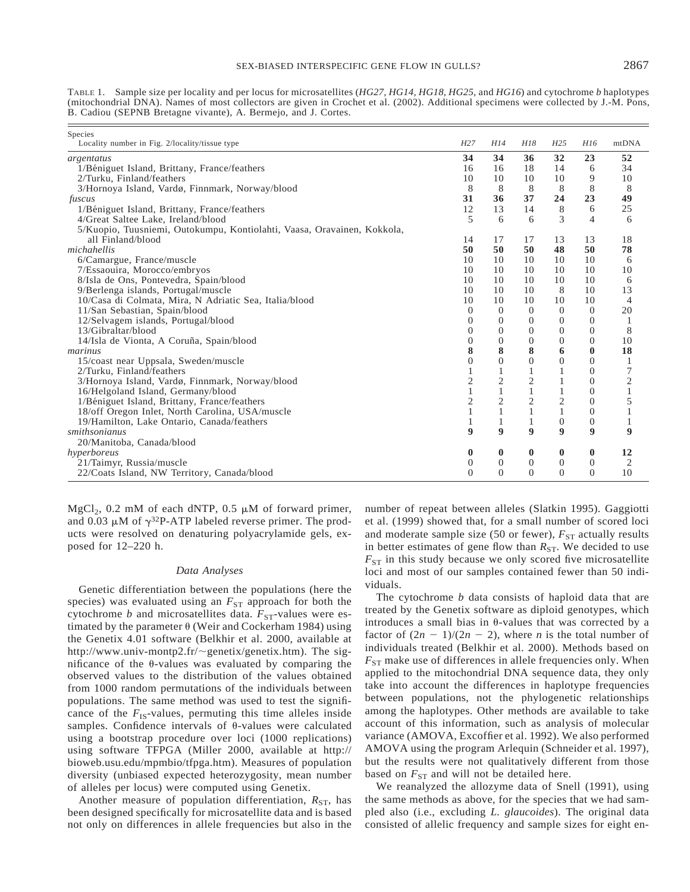TABLE 1. Sample size per locality and per locus for microsatellites (*HG27, HG14, HG18, HG25*, and *HG16*) and cytochrome *b* haplotypes (mitochondrial DNA). Names of most collectors are given in Crochet et al. (2002). Additional specimens were collected by J.-M. Pons, B. Cadiou (SEPNB Bretagne vivante), A. Bermejo, and J. Cortes.

| Species<br>Locality number in Fig. 2/locality/tissue type               | H27              | H14              | H18              | H25              | H16              | mtDNA          |
|-------------------------------------------------------------------------|------------------|------------------|------------------|------------------|------------------|----------------|
| argentatus                                                              | 34               | 34               | 36               | 32               | 23               | 52             |
| 1/Béniguet Island, Brittany, France/feathers                            | 16               | 16               | 18               | 14               | 6                | 34             |
| 2/Turku, Finland/feathers                                               | 10               | 10               | 10               | 10               | 9                | 10             |
| 3/Hornoya Island, Vardø, Finnmark, Norway/blood                         | 8                | 8                | 8                | 8                | 8                | 8              |
| fuscus                                                                  | 31               | 36               | 37               | 24               | 23               | 49             |
| 1/Béniguet Island, Brittany, France/feathers                            | 12               | 13               | 14               | 8                | 6                | 25             |
| 4/Great Saltee Lake, Ireland/blood                                      | 5                | 6                | 6                | 3                | $\overline{4}$   | 6              |
| 5/Kuopio, Tuusniemi, Outokumpu, Kontiolahti, Vaasa, Oravainen, Kokkola, |                  |                  |                  |                  |                  |                |
| all Finland/blood                                                       | 14               | 17               | 17               | 13               | 13               | 18             |
| michahellis                                                             | 50               | 50               | 50               | 48               | 50               | 78             |
| 6/Camargue, France/muscle                                               | 10               | 10               | 10               | 10               | 10               | 6              |
| 7/Essaouira, Morocco/embryos                                            | 10               | 10               | 10               | 10               | 10               | 10             |
| 8/Isla de Ons, Pontevedra, Spain/blood                                  | 10               | 10               | 10               | 10               | 10               | 6              |
| 9/Berlenga islands, Portugal/muscle                                     | 10               | 10               | 10               | 8                | 10               | 13             |
| 10/Casa di Colmata, Mira, N Adriatic Sea, Italia/blood                  | 10               | 10               | 10               | 10               | 10               | $\overline{4}$ |
| 11/San Sebastian, Spain/blood                                           | $\theta$         | $\overline{0}$   | $\overline{0}$   | $\theta$         | $\theta$         | 20             |
| 12/Selvagem islands, Portugal/blood                                     | $\overline{0}$   | $\theta$         | $\theta$         | $\theta$         | $\theta$         | 1              |
| 13/Gibraltar/blood                                                      | $\overline{0}$   | $\mathbf{0}$     | $\boldsymbol{0}$ | $\boldsymbol{0}$ | $\mathbf{0}$     | 8              |
| 14/Isla de Vionta, A Coruña, Spain/blood                                | $\overline{0}$   | $\mathbf{0}$     | $\boldsymbol{0}$ | $\boldsymbol{0}$ | $\overline{0}$   | 10             |
| marinus                                                                 | 8                | 8                | 8                | 6                | $\bf{0}$         | 18             |
| 15/coast near Uppsala, Sweden/muscle                                    | $\theta$         | $\theta$         | $\overline{0}$   | $\theta$         | $\overline{0}$   | 1              |
| 2/Turku, Finland/feathers                                               |                  |                  | $\mathbf{1}$     | 1                | $\overline{0}$   | 7              |
| 3/Hornoya Island, Vardø, Finnmark, Norway/blood                         | $\overline{2}$   | $\mathfrak{2}$   | $\overline{2}$   | $\mathbf{1}$     | $\overline{0}$   | 2              |
| 16/Helgoland Island, Germany/blood                                      | 1                | 1                | $\mathbf{1}$     | 1                | $\overline{0}$   | 1              |
| 1/Béniguet Island, Brittany, France/feathers                            | $\overline{c}$   | $\overline{c}$   | $\sqrt{2}$       | $\sqrt{2}$       | $\overline{0}$   | 5              |
| 18/off Oregon Inlet, North Carolina, USA/muscle                         |                  | $\mathbf{1}$     | $\mathbf{1}$     | $\mathbf{1}$     | $\boldsymbol{0}$ |                |
| 19/Hamilton, Lake Ontario, Canada/feathers                              | $\mathbf{1}$     | $\mathbf{1}$     | $\mathbf{1}$     | $\boldsymbol{0}$ | $\theta$         | 1              |
| smithsonianus                                                           | $\boldsymbol{9}$ | $\boldsymbol{9}$ | $\boldsymbol{9}$ | $\boldsymbol{9}$ | $\boldsymbol{9}$ | 9              |
| 20/Manitoba, Canada/blood                                               |                  |                  |                  |                  |                  |                |
| hyperboreus                                                             | $\bf{0}$         | $\bf{0}$         | $\bf{0}$         | $\bf{0}$         | $\bf{0}$         | 12             |
| 21/Taimyr, Russia/muscle                                                | $\boldsymbol{0}$ | $\mathbf{0}$     | $\mathbf{0}$     | $\mathbf{0}$     | $\mathbf{0}$     | $\mathbf{2}$   |
| 22/Coats Island, NW Territory, Canada/blood                             | $\Omega$         | $\Omega$         | $\Omega$         | $\Omega$         | $\Omega$         | 10             |

 $MgCl<sub>2</sub>$ , 0.2 mM of each dNTP, 0.5  $\mu$ M of forward primer, and 0.03  $\mu$ M of  $\gamma^{32}P$ -ATP labeled reverse primer. The products were resolved on denaturing polyacrylamide gels, exposed for 12–220 h.

# *Data Analyses*

Genetic differentiation between the populations (here the species) was evaluated using an  $F_{ST}$  approach for both the cytochrome *b* and microsatellites data.  $F_{ST}$ -values were estimated by the parameter  $\theta$  (Weir and Cockerham 1984) using the Genetix 4.01 software (Belkhir et al. 2000, available at http://www.univ-montp2.fr/ $\sim$ genetix/genetix.htm). The significance of the  $\theta$ -values was evaluated by comparing the observed values to the distribution of the values obtained from 1000 random permutations of the individuals between populations. The same method was used to test the significance of the  $F_{IS}$ -values, permuting this time alleles inside samples. Confidence intervals of  $\theta$ -values were calculated using a bootstrap procedure over loci (1000 replications) using software TFPGA (Miller 2000, available at http:// bioweb.usu.edu/mpmbio/tfpga.htm). Measures of population diversity (unbiased expected heterozygosity, mean number of alleles per locus) were computed using Genetix.

Another measure of population differentiation,  $R_{ST}$ , has been designed specifically for microsatellite data and is based not only on differences in allele frequencies but also in the number of repeat between alleles (Slatkin 1995). Gaggiotti et al. (1999) showed that, for a small number of scored loci and moderate sample size (50 or fewer),  $F_{ST}$  actually results in better estimates of gene flow than  $R_{ST}$ . We decided to use  $F_{ST}$  in this study because we only scored five microsatellite loci and most of our samples contained fewer than 50 individuals.

The cytochrome *b* data consists of haploid data that are treated by the Genetix software as diploid genotypes, which introduces a small bias in  $\theta$ -values that was corrected by a factor of  $(2n - 1)/(2n - 2)$ , where *n* is the total number of individuals treated (Belkhir et al. 2000). Methods based on  $F_{ST}$  make use of differences in allele frequencies only. When applied to the mitochondrial DNA sequence data, they only take into account the differences in haplotype frequencies between populations, not the phylogenetic relationships among the haplotypes. Other methods are available to take account of this information, such as analysis of molecular variance (AMOVA, Excoffier et al. 1992). We also performed AMOVA using the program Arlequin (Schneider et al. 1997), but the results were not qualitatively different from those based on  $F_{ST}$  and will not be detailed here.

We reanalyzed the allozyme data of Snell (1991), using the same methods as above, for the species that we had sampled also (i.e., excluding *L. glaucoides*). The original data consisted of allelic frequency and sample sizes for eight en-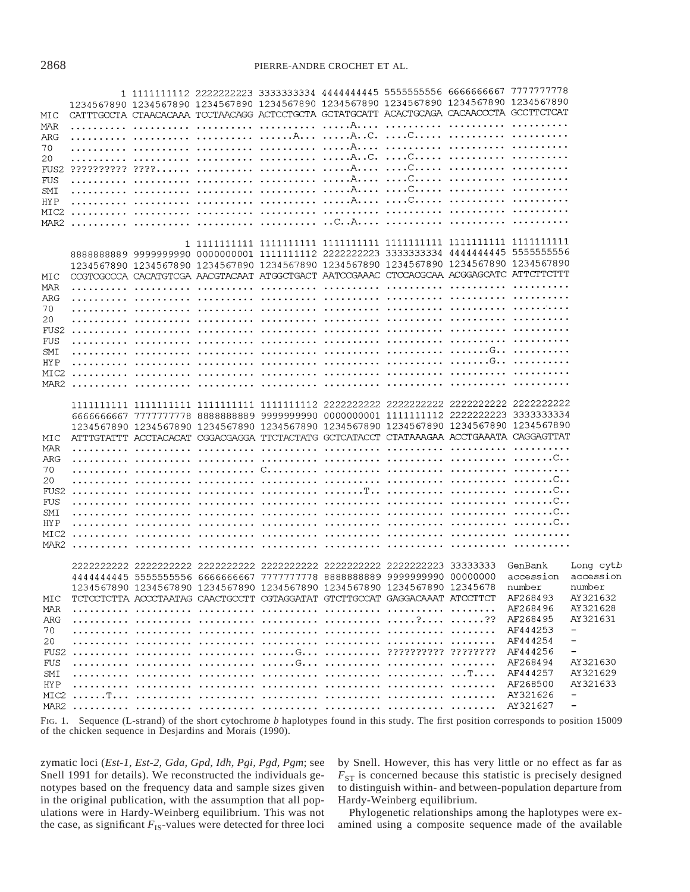# 2868 PIERRE-ANDRE CROCHET ET AL.

|                  |  |  | 1 1111111112 2222222223 3333333334 4444444445 5555555556 6666666667 7777777778          |                     |                          |
|------------------|--|--|-----------------------------------------------------------------------------------------|---------------------|--------------------------|
|                  |  |  | 1234567890 1234567890 1234567890 1234567890 1234567890 1234567890 1234567890 1234567890 |                     |                          |
| MIC              |  |  | CATTTGCCTA CTAACACAAA TCCTAACAGG ACTCCTGCTA GCTATGCATT ACACTGCAGA CACAACCCTA GCCTTCTCAT |                     |                          |
| MAR              |  |  |                                                                                         |                     |                          |
| <b>ARG</b>       |  |  |                                                                                         |                     |                          |
| 70               |  |  |                                                                                         |                     |                          |
|                  |  |  |                                                                                         |                     |                          |
| 20               |  |  |                                                                                         |                     |                          |
|                  |  |  |                                                                                         |                     |                          |
| FUS              |  |  |                                                                                         |                     |                          |
| SMI              |  |  |                                                                                         |                     |                          |
| HY P             |  |  |                                                                                         |                     |                          |
| MIC <sub>2</sub> |  |  |                                                                                         |                     |                          |
| MAR <sub>2</sub> |  |  |                                                                                         |                     |                          |
|                  |  |  |                                                                                         |                     |                          |
|                  |  |  |                                                                                         |                     |                          |
|                  |  |  |                                                                                         |                     |                          |
|                  |  |  | 8888888889 9999999990 0000000001 1111111112 2222222223 3333333334 4444444445 5555555556 |                     |                          |
|                  |  |  | 1234567890 1234567890 1234567890 1234567890 1234567890 1234567890 1234567890 1234567890 |                     |                          |
| MIC              |  |  | CCGTCGCCCA CACATGTCGA AACGTACAAT ATGGCTGACT AATCCGAAAC CTCCACGCAA ACGGAGCATC ATTCTTCTTT |                     |                          |
| MAR              |  |  |                                                                                         |                     |                          |
| ARG              |  |  |                                                                                         |                     |                          |
|                  |  |  |                                                                                         |                     |                          |
| 70               |  |  |                                                                                         |                     |                          |
| 20               |  |  |                                                                                         |                     |                          |
| FUS <sub>2</sub> |  |  |                                                                                         |                     |                          |
| <b>FUS</b>       |  |  |                                                                                         |                     |                          |
| <b>SMT</b>       |  |  |                                                                                         |                     |                          |
| HY P             |  |  |                                                                                         |                     |                          |
| MIC <sub>2</sub> |  |  |                                                                                         |                     |                          |
| MAR <sub>2</sub> |  |  |                                                                                         |                     |                          |
|                  |  |  |                                                                                         |                     |                          |
|                  |  |  |                                                                                         |                     |                          |
|                  |  |  |                                                                                         |                     |                          |
|                  |  |  | 666666667 777777778 8888888889 9999999990 0000000001 1111111112 2222222223 3333333334   |                     |                          |
|                  |  |  | 1234567890 1234567890 1234567890 1234567890 1234567890 1234567890 1234567890 1234567890 |                     |                          |
| MIC              |  |  | ATTTGTATTT ACCTACACAT CGGACGAGGA TTCTACTATG GCTCATACCT CTATAAAGAA ACCTGAAATA CAGGAGTTAT |                     |                          |
| MAR              |  |  |                                                                                         |                     |                          |
| ARG              |  |  |                                                                                         |                     |                          |
|                  |  |  |                                                                                         |                     |                          |
| 70               |  |  |                                                                                         |                     |                          |
| 20               |  |  |                                                                                         |                     |                          |
| FUS2             |  |  |                                                                                         |                     |                          |
| <b>FUS</b>       |  |  |                                                                                         |                     |                          |
| SMI              |  |  |                                                                                         |                     |                          |
| <b>HYP</b>       |  |  |                                                                                         |                     |                          |
| MIC <sub>2</sub> |  |  |                                                                                         |                     |                          |
| MAR <sub>2</sub> |  |  |                                                                                         |                     |                          |
|                  |  |  |                                                                                         |                     |                          |
|                  |  |  |                                                                                         |                     |                          |
|                  |  |  |                                                                                         | GenBank             | Long cytb                |
|                  |  |  | 444444445 5555555556 6666666667 777777778 8888888889 9999999990 00000000                | accession accession |                          |
|                  |  |  | 1234567890 1234567890 1234567890 1234567890 1234567890 1234567890 12345678 number       |                     | number                   |
| MIC              |  |  | TCTCCTCTTA ACCCTAATAG CAACTGCCTT CGTAGGATAT GTCTTGCCAT GAGGACAAAT ATCCTTCT              | AF268493            | AY321632                 |
| MAR              |  |  |                                                                                         | AF268496            | AY321628                 |
| <b>ARG</b>       |  |  |                                                                                         | AF268495            | AY321631                 |
|                  |  |  |                                                                                         | AF444253            |                          |
| 70               |  |  |                                                                                         |                     |                          |
| 20               |  |  |                                                                                         | AF444254            | $\qquad \qquad -$        |
| FUS <sub>2</sub> |  |  |                                                                                         | AF444256            |                          |
| ${\rm FUS}$      |  |  |                                                                                         | AF268494            | AY321630                 |
| SMI              |  |  |                                                                                         | AF444257            | AY321629                 |
| <b>HYP</b>       |  |  |                                                                                         | AF268500            | AY321633                 |
| MIC2             |  |  |                                                                                         | AY321626            | $\qquad \qquad -$        |
|                  |  |  |                                                                                         |                     | $\overline{\phantom{a}}$ |
|                  |  |  |                                                                                         |                     |                          |

FIG. 1. Sequence (L-strand) of the short cytochrome *b* haplotypes found in this study. The first position corresponds to position 15009 of the chicken sequence in Desjardins and Morais (1990).

zymatic loci (*Est-1, Est-2, Gda, Gpd, Idh, Pgi, Pgd, Pgm*; see Snell 1991 for details). We reconstructed the individuals genotypes based on the frequency data and sample sizes given in the original publication, with the assumption that all populations were in Hardy-Weinberg equilibrium. This was not the case, as significant  $F_{IS}$ -values were detected for three loci by Snell. However, this has very little or no effect as far as  $F_{ST}$  is concerned because this statistic is precisely designed to distinguish within- and between-population departure from Hardy-Weinberg equilibrium.

Phylogenetic relationships among the haplotypes were examined using a composite sequence made of the available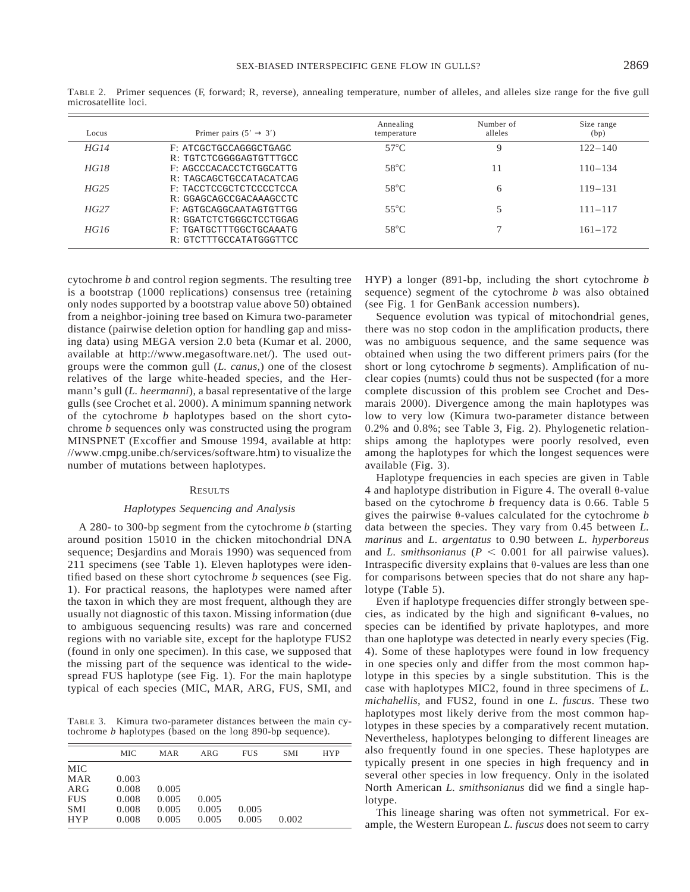| Locus       | Primer pairs $(5' \rightarrow 3')$                 | Annealing<br>temperature | Number of<br>alleles | Size range<br>(bp) |
|-------------|----------------------------------------------------|--------------------------|----------------------|--------------------|
| HG14        | F: ATCGCTGCCAGGGCTGAGC<br>R: TGTCTCGGGGAGTGTTTGCC  | $57^{\circ}$ C           |                      | $122 - 140$        |
| HG18        | F: AGCCCACACCTCTGGCATTG<br>R: TAGCAGCTGCCATACATCAG | $58^{\circ}$ C           |                      | $110 - 134$        |
| HG25        | F: TACCTCCGCTCTCCCCTCCA<br>R: GGAGCAGCCGACAAAGCCTC | $58^{\circ}$ C           |                      | $119 - 131$        |
| HG27        | F: AGTGCAGGCAATAGTGTTGG<br>R: GGATCTCTGGGCTCCTGGAG | $55^{\circ}$ C           |                      | $111 - 117$        |
| <i>HG16</i> | F: TGATGCTTTGGCTGCAAATG<br>R: GTCTTTGCCATATGGGTTCC | $58^{\circ}$ C           |                      | $161 - 172$        |

TABLE 2. Primer sequences (F, forward; R, reverse), annealing temperature, number of alleles, and alleles size range for the five gull microsatellite loci.

cytochrome *b* and control region segments. The resulting tree is a bootstrap (1000 replications) consensus tree (retaining only nodes supported by a bootstrap value above 50) obtained from a neighbor-joining tree based on Kimura two-parameter distance (pairwise deletion option for handling gap and missing data) using MEGA version 2.0 beta (Kumar et al. 2000, available at http://www.megasoftware.net/). The used outgroups were the common gull (*L. canus*,) one of the closest relatives of the large white-headed species, and the Hermann's gull (*L. heermanni*), a basal representative of the large gulls (see Crochet et al. 2000). A minimum spanning network of the cytochrome *b* haplotypes based on the short cytochrome *b* sequences only was constructed using the program MINSPNET (Excoffier and Smouse 1994, available at http: //www.cmpg.unibe.ch/services/software.htm) to visualize the number of mutations between haplotypes.

# RESULTS

# *Haplotypes Sequencing and Analysis*

A 280- to 300-bp segment from the cytochrome *b* (starting around position 15010 in the chicken mitochondrial DNA sequence; Desjardins and Morais 1990) was sequenced from 211 specimens (see Table 1). Eleven haplotypes were identified based on these short cytochrome *b* sequences (see Fig. 1). For practical reasons, the haplotypes were named after the taxon in which they are most frequent, although they are usually not diagnostic of this taxon. Missing information (due to ambiguous sequencing results) was rare and concerned regions with no variable site, except for the haplotype FUS2 (found in only one specimen). In this case, we supposed that the missing part of the sequence was identical to the widespread FUS haplotype (see Fig. 1). For the main haplotype typical of each species (MIC, MAR, ARG, FUS, SMI, and

TABLE 3. Kimura two-parameter distances between the main cytochrome *b* haplotypes (based on the long 890-bp sequence).

|            | MIC   | MAR   | ARG   | FUS   | <b>SMI</b> | <b>HYP</b> |
|------------|-------|-------|-------|-------|------------|------------|
| MIC        |       |       |       |       |            |            |
| <b>MAR</b> | 0.003 |       |       |       |            |            |
| ARG        | 0.008 | 0.005 |       |       |            |            |
| <b>FUS</b> | 0.008 | 0.005 | 0.005 |       |            |            |
| <b>SMI</b> | 0.008 | 0.005 | 0.005 | 0.005 |            |            |
| <b>HYP</b> | 0.008 | 0.005 | 0.005 | 0.005 | 0.002      |            |

HYP) a longer (891-bp, including the short cytochrome *b* sequence) segment of the cytochrome *b* was also obtained (see Fig. 1 for GenBank accession numbers).

Sequence evolution was typical of mitochondrial genes, there was no stop codon in the amplification products, there was no ambiguous sequence, and the same sequence was obtained when using the two different primers pairs (for the short or long cytochrome *b* segments). Amplification of nuclear copies (numts) could thus not be suspected (for a more complete discussion of this problem see Crochet and Desmarais 2000). Divergence among the main haplotypes was low to very low (Kimura two-parameter distance between 0.2% and 0.8%; see Table 3, Fig. 2). Phylogenetic relationships among the haplotypes were poorly resolved, even among the haplotypes for which the longest sequences were available (Fig. 3).

Haplotype frequencies in each species are given in Table 4 and haplotype distribution in Figure 4. The overall  $\theta$ -value based on the cytochrome *b* frequency data is 0.66. Table 5 gives the pairwise  $\theta$ -values calculated for the cytochrome *b* data between the species. They vary from 0.45 between *L. marinus* and *L. argentatus* to 0.90 between *L. hyperboreus* and *L. smithsonianus* ( $P < 0.001$  for all pairwise values). Intraspecific diversity explains that  $\theta$ -values are less than one for comparisons between species that do not share any haplotype (Table 5).

Even if haplotype frequencies differ strongly between species, as indicated by the high and significant  $\theta$ -values, no species can be identified by private haplotypes, and more than one haplotype was detected in nearly every species (Fig. 4). Some of these haplotypes were found in low frequency in one species only and differ from the most common haplotype in this species by a single substitution. This is the case with haplotypes MIC2, found in three specimens of *L. michahellis*, and FUS2, found in one *L. fuscus*. These two haplotypes most likely derive from the most common haplotypes in these species by a comparatively recent mutation. Nevertheless, haplotypes belonging to different lineages are also frequently found in one species. These haplotypes are typically present in one species in high frequency and in several other species in low frequency. Only in the isolated North American *L. smithsonianus* did we find a single haplotype.

This lineage sharing was often not symmetrical. For example, the Western European *L. fuscus* does not seem to carry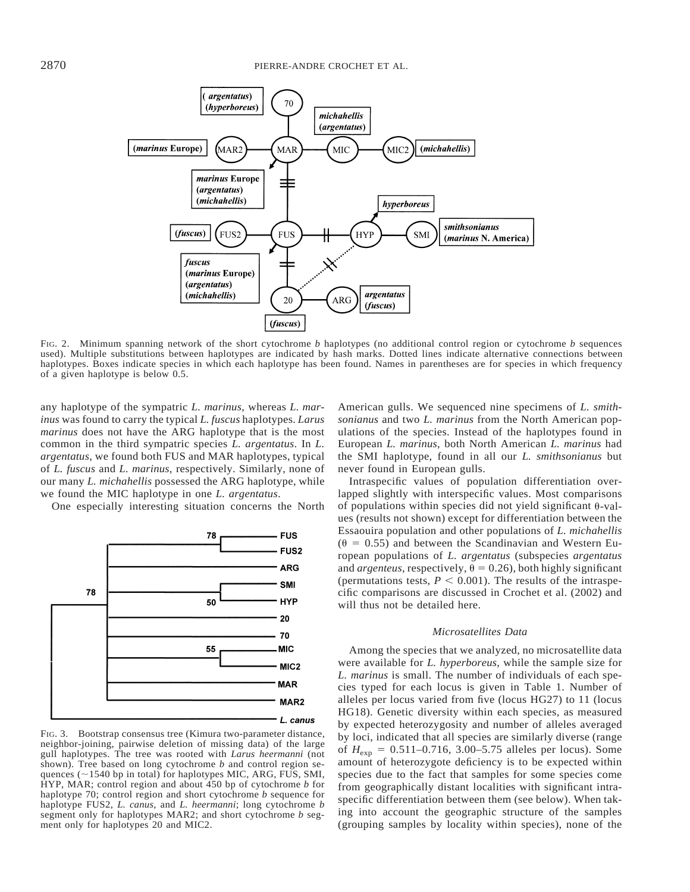

FIG. 2. Minimum spanning network of the short cytochrome *b* haplotypes (no additional control region or cytochrome *b* sequences used). Multiple substitutions between haplotypes are indicated by hash marks. Dotted lines indicate alternative connections between haplotypes. Boxes indicate species in which each haplotype has been found. Names in parentheses are for species in which frequency of a given haplotype is below 0.5.

any haplotype of the sympatric *L. marinus*, whereas *L. marinus* was found to carry the typical *L. fuscus* haplotypes. *Larus marinus* does not have the ARG haplotype that is the most common in the third sympatric species *L. argentatus*. In *L. argentatus*, we found both FUS and MAR haplotypes, typical of *L. fuscus* and *L. marinus*, respectively. Similarly, none of our many *L. michahellis* possessed the ARG haplotype, while we found the MIC haplotype in one *L. argentatus*.

One especially interesting situation concerns the North



FIG. 3. Bootstrap consensus tree (Kimura two-parameter distance, neighbor-joining, pairwise deletion of missing data) of the large gull haplotypes. The tree was rooted with *Larus heermanni* (not shown). Tree based on long cytochrome *b* and control region sequences ( $\sim$ 1540 bp in total) for haplotypes MIC, ARG, FUS, SMI, HYP, MAR; control region and about 450 bp of cytochrome *b* for haplotype 70; control region and short cytochrome *b* sequence for haplotype FUS2, *L. canus*, and *L. heermanni*; long cytochrome *b* segment only for haplotypes MAR2; and short cytochrome *b* segment only for haplotypes 20 and MIC2.

American gulls. We sequenced nine specimens of *L. smithsonianus* and two *L. marinus* from the North American populations of the species. Instead of the haplotypes found in European *L. marinus*, both North American *L. marinus* had the SMI haplotype, found in all our *L. smithsonianus* but never found in European gulls.

Intraspecific values of population differentiation overlapped slightly with interspecific values. Most comparisons of populations within species did not yield significant  $\theta$ -values (results not shown) except for differentiation between the Essaouira population and other populations of *L. michahellis*  $(\theta = 0.55)$  and between the Scandinavian and Western European populations of *L. argentatus* (subspecies *argentatus* and *argenteus*, respectively,  $\theta = 0.26$ ), both highly significant (permutations tests,  $P < 0.001$ ). The results of the intraspecific comparisons are discussed in Crochet et al. (2002) and will thus not be detailed here.

# *Microsatellites Data*

Among the species that we analyzed, no microsatellite data were available for *L. hyperboreus*, while the sample size for *L. marinus* is small. The number of individuals of each species typed for each locus is given in Table 1. Number of alleles per locus varied from five (locus HG27) to 11 (locus HG18). Genetic diversity within each species, as measured by expected heterozygosity and number of alleles averaged by loci, indicated that all species are similarly diverse (range of  $H_{\text{exp}} = 0.511{\text{-}}0.716, 3.00{\text{-}}5.75$  alleles per locus). Some amount of heterozygote deficiency is to be expected within species due to the fact that samples for some species come from geographically distant localities with significant intraspecific differentiation between them (see below). When taking into account the geographic structure of the samples (grouping samples by locality within species), none of the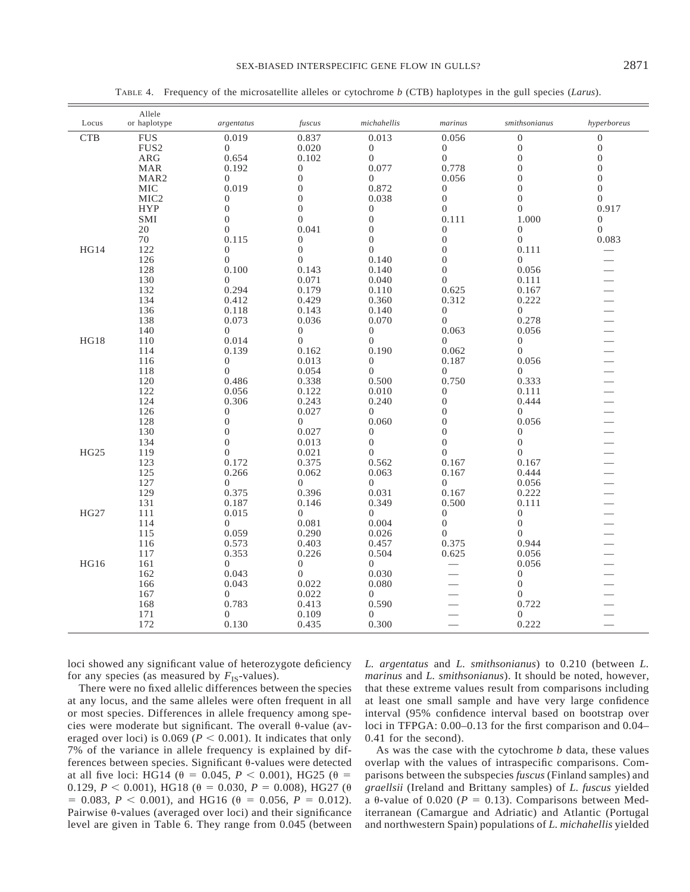| Locus       | or haplotype     | argentatus       | fuscus           | michahellis      | marinus          | smithsonianus    | hyperboreus              |
|-------------|------------------|------------------|------------------|------------------|------------------|------------------|--------------------------|
| CTB         | ${\rm FUS}$      | 0.019            | 0.837            | 0.013            | 0.056            | $\boldsymbol{0}$ | $\boldsymbol{0}$         |
|             | FUS <sub>2</sub> | $\boldsymbol{0}$ | 0.020            | $\boldsymbol{0}$ | $\boldsymbol{0}$ | $\boldsymbol{0}$ | $\mathbf{0}$             |
|             | ARG              | 0.654            | 0.102            | $\overline{0}$   | $\theta$         | $\overline{0}$   | $\overline{0}$           |
|             | <b>MAR</b>       | 0.192            | $\theta$         | 0.077            | 0.778            | $\Omega$         | $\theta$                 |
|             | MAR <sub>2</sub> | $\overline{0}$   | $\theta$         | $\overline{0}$   | 0.056            | $\overline{0}$   | $\overline{0}$           |
|             | <b>MIC</b>       | 0.019            | $\theta$         | 0.872            | $\boldsymbol{0}$ | $\Omega$         | $\overline{0}$           |
|             | MIC <sub>2</sub> | $\overline{0}$   | $\Omega$         | 0.038            | $\theta$         | $\Omega$         | $\overline{0}$           |
|             | <b>HYP</b>       | $\mathbf{0}$     | $\Omega$         | $\overline{0}$   | $\boldsymbol{0}$ | $\overline{0}$   | 0.917                    |
|             | SMI              | $\mathbf{0}$     | $\theta$         | $\boldsymbol{0}$ | 0.111            | 1.000            | $\boldsymbol{0}$         |
|             | 20               | $\mathbf{0}$     | 0.041            | $\overline{0}$   | $\boldsymbol{0}$ | $\theta$         | $\boldsymbol{0}$         |
|             | 70               | 0.115            | $\theta$         | $\overline{0}$   | $\boldsymbol{0}$ | $\theta$         | 0.083                    |
| HG14        | 122              | $\overline{0}$   | $\Omega$         | $\Omega$         | $\overline{0}$   | 0.111            |                          |
|             | 126              | $\overline{0}$   | $\theta$         | 0.140            | $\boldsymbol{0}$ | $\theta$         | $\overline{\phantom{0}}$ |
|             | 128              | 0.100            | 0.143            | 0.140            | $\theta$         | 0.056            | $\overline{\phantom{0}}$ |
|             | 130              | $\overline{0}$   | 0.071            | 0.040            | $\overline{0}$   | 0.111            | $\overline{\phantom{0}}$ |
|             | 132              | 0.294            | 0.179            | 0.110            | 0.625            | 0.167            | $\overline{\phantom{0}}$ |
|             | 134              | 0.412            | 0.429            | 0.360            | 0.312            | 0.222            | $\overline{\phantom{0}}$ |
|             | 136              | 0.118            | 0.143            | 0.140            | $\boldsymbol{0}$ | $\overline{0}$   | $\overline{\phantom{0}}$ |
|             | 138              | 0.073            | 0.036            | 0.070            | $\boldsymbol{0}$ | 0.278            | $\overline{\phantom{0}}$ |
|             | 140              | $\theta$         | $\theta$         | $\overline{0}$   | 0.063            | 0.056            | $\overline{\phantom{a}}$ |
| HG18        | 110              | 0.014            | $\overline{0}$   | $\overline{0}$   | $\overline{0}$   | $\overline{0}$   | $\overline{\phantom{0}}$ |
|             | 114              | 0.139            | 0.162            | 0.190            | 0.062            | $\boldsymbol{0}$ | $\overline{\phantom{0}}$ |
|             | 116              | $\overline{0}$   | 0.013            | $\overline{0}$   | 0.187            | 0.056            | $\overline{\phantom{0}}$ |
|             | 118              | $\mathbf{0}$     | 0.054            | $\overline{0}$   | $\overline{0}$   | $\overline{0}$   |                          |
|             | 120              | 0.486            | 0.338            | 0.500            | 0.750            | 0.333            |                          |
|             | 122              | 0.056            | 0.122            | 0.010            | $\mathbf{0}$     | 0.111            |                          |
|             | 124              | 0.306            | 0.243            | 0.240            | $\boldsymbol{0}$ | 0.444            |                          |
|             | 126              | $\overline{0}$   | 0.027            | $\overline{0}$   | $\overline{0}$   | $\overline{0}$   |                          |
|             | 128              | $\overline{0}$   | $\overline{0}$   | 0.060            | $\overline{0}$   | 0.056            |                          |
|             | 130              | $\overline{0}$   | 0.027            | $\theta$         | $\overline{0}$   | $\overline{0}$   |                          |
|             | 134              | $\Omega$         | 0.013            | $\overline{0}$   | $\overline{0}$   | $\theta$         | $\overline{\phantom{0}}$ |
| <b>HG25</b> | 119              | $\Omega$         | 0.021            | $\Omega$         | $\overline{0}$   | $\Omega$         | $\overline{\phantom{0}}$ |
|             | 123              | 0.172            | 0.375            | 0.562            | 0.167            | 0.167            | $\overline{\phantom{0}}$ |
|             | 125              | 0.266            | 0.062            | 0.063            | 0.167            | 0.444            |                          |
|             | 127              | $\mathbf{0}$     | $\theta$         | $\overline{0}$   | $\mathbf{0}$     | 0.056            | $\qquad \qquad$          |
|             | 129              | 0.375            | 0.396            | 0.031            | 0.167            | 0.222            | $\overline{\phantom{0}}$ |
|             | 131              | 0.187            | 0.146            | 0.349            | 0.500            | 0.111            | $\overline{\phantom{0}}$ |
| <b>HG27</b> | 111              | 0.015            | $\overline{0}$   | $\overline{0}$   | $\mathbf{0}$     | $\overline{0}$   | $\overline{\phantom{0}}$ |
|             | 114              | $\mathbf{0}$     | 0.081            | 0.004            | $\boldsymbol{0}$ | $\overline{0}$   | $\overline{\phantom{0}}$ |
|             | 115              | 0.059            | 0.290            | 0.026            | $\overline{0}$   | $\Omega$         | $\overline{\phantom{0}}$ |
|             | 116              | 0.573            | 0.403            | 0.457            | 0.375            | 0.944            |                          |
|             | 117              | 0.353            | 0.226            | 0.504            | 0.625            | 0.056            | $\overline{\phantom{0}}$ |
| <b>HG16</b> | 161              | $\overline{0}$   | $\theta$         | $\overline{0}$   |                  | 0.056            |                          |
|             | 162              | 0.043            | $\boldsymbol{0}$ | 0.030            |                  | $\overline{0}$   | $\overline{\phantom{0}}$ |
|             | 166              | 0.043            | 0.022            | 0.080            |                  | $\overline{0}$   |                          |
|             | 167              | $\overline{0}$   | 0.022            | $\overline{0}$   |                  | $\theta$         | $\overline{\phantom{0}}$ |
|             | 168              | 0.783            | 0.413            | 0.590            |                  | 0.722            |                          |
|             | 171              | $\overline{0}$   | 0.109            | $\overline{0}$   |                  | $\overline{0}$   |                          |

TABLE 4. Frequency of the microsatellite alleles or cytochrome *b* (CTB) haplotypes in the gull species (*Larus*).

loci showed any significant value of heterozygote deficiency for any species (as measured by  $F_{\text{IS}}$ -values).

0.130

0.435

0.300

172

Allele

There were no fixed allelic differences between the species at any locus, and the same alleles were often frequent in all or most species. Differences in allele frequency among species were moderate but significant. The overall  $\theta$ -value (averaged over loci) is 0.069 ( $P < 0.001$ ). It indicates that only 7% of the variance in allele frequency is explained by differences between species. Significant  $\theta$ -values were detected at all five loci: HG14 ( $\theta = 0.045$ ,  $P < 0.001$ ), HG25 ( $\theta =$ 0.129,  $P < 0.001$ ), HG18 ( $\theta = 0.030$ ,  $P = 0.008$ ), HG27 ( $\theta$  $= 0.083, P < 0.001$ , and HG16 ( $\theta = 0.056, P = 0.012$ ). Pairwise  $\theta$ -values (averaged over loci) and their significance level are given in Table 6. They range from 0.045 (between

*L. argentatus* and *L. smithsonianus*) to 0.210 (between *L. marinus* and *L. smithsonianus*). It should be noted, however, that these extreme values result from comparisons including at least one small sample and have very large confidence interval (95% confidence interval based on bootstrap over loci in TFPGA: 0.00–0.13 for the first comparison and 0.04– 0.41 for the second).

0.222

—

—

As was the case with the cytochrome *b* data, these values overlap with the values of intraspecific comparisons. Comparisons between the subspecies *fuscus* (Finland samples) and *graellsii* (Ireland and Brittany samples) of *L. fuscus* yielded a  $\theta$ -value of 0.020 ( $P = 0.13$ ). Comparisons between Mediterranean (Camargue and Adriatic) and Atlantic (Portugal and northwestern Spain) populations of *L. michahellis* yielded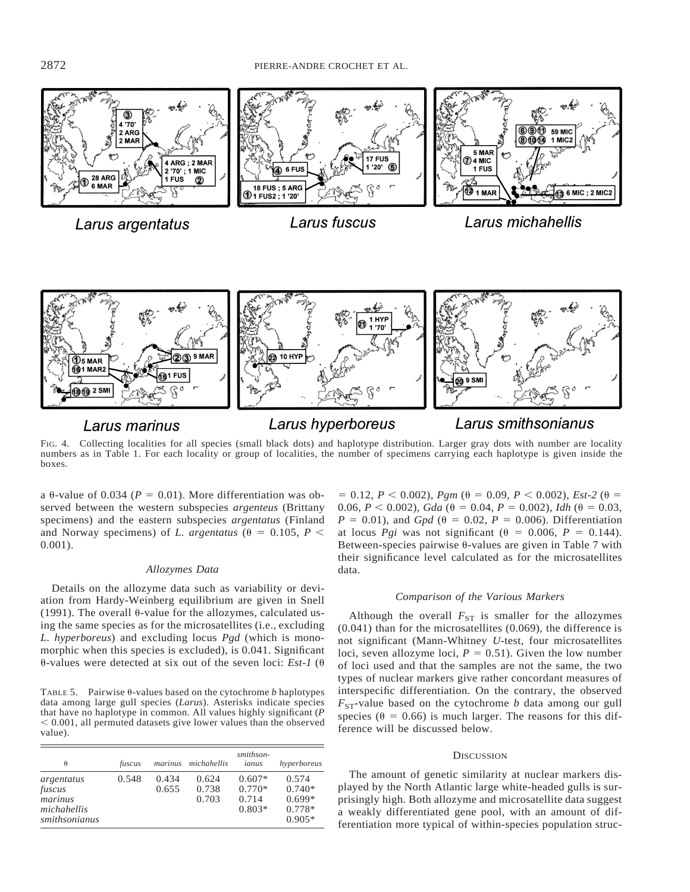

FIG. 4. Collecting localities for all species (small black dots) and haplotype distribution. Larger gray dots with number are locality numbers as in Table 1. For each locality or group of localities, the number of specimens carrying each haplotype is given inside the boxes.

a  $\theta$ -value of 0.034 ( $P = 0.01$ ). More differentiation was observed between the western subspecies *argenteus* (Brittany specimens) and the eastern subspecies *argentatus* (Finland and Norway specimens) of *L. argentatus* ( $\theta$  = 0.105, *P* < 0.001).

# *Allozymes Data*

Details on the allozyme data such as variability or deviation from Hardy-Weinberg equilibrium are given in Snell (1991). The overall  $\theta$ -value for the allozymes, calculated using the same species as for the microsatellites (i.e., excluding *L. hyperboreus*) and excluding locus *Pgd* (which is monomorphic when this species is excluded), is 0.041. Significant  $\theta$ -values were detected at six out of the seven loci: *Est-1* ( $\theta$ 

TABLE 5. Pairwise  $\theta$ -values based on the cytochrome *b* haplotypes data among large gull species (*Larus*). Asterisks indicate species that have no haplotype in common. All values highly significant (*P*  $< 0.001$ , all permuted datasets give lower values than the observed value).

| $\theta$                                                        | fuscus |                | marinus michahellis     | smithson-<br>ianus                        | hyperboreus                                           |
|-----------------------------------------------------------------|--------|----------------|-------------------------|-------------------------------------------|-------------------------------------------------------|
| argentatus<br>fuscus<br>marinus<br>michahellis<br>smithsonianus | 0.548  | 0.434<br>0.655 | 0.624<br>0.738<br>0.703 | $0.607*$<br>$0.770*$<br>0.714<br>$0.803*$ | 0.574<br>$0.740*$<br>$0.699*$<br>$0.778*$<br>$0.905*$ |

 $= 0.12, P < 0.002$ , *Pgm* ( $\theta = 0.09, P < 0.002$ ), *Est-2* ( $\theta =$ 0.06,  $P < 0.002$ ), *Gda* ( $\theta = 0.04$ ,  $P = 0.002$ ), *Idh* ( $\theta = 0.03$ ,  $P = 0.01$ ), and *Gpd* ( $\theta = 0.02$ ,  $P = 0.006$ ). Differentiation at locus *Pgi* was not significant ( $\theta = 0.006$ ,  $P = 0.144$ ). Between-species pairwise  $\theta$ -values are given in Table 7 with their significance level calculated as for the microsatellites data.

#### *Comparison of the Various Markers*

Although the overall  $F_{ST}$  is smaller for the allozymes (0.041) than for the microsatellites (0.069), the difference is not significant (Mann-Whitney *U*-test, four microsatellites loci, seven allozyme loci,  $P = 0.51$ ). Given the low number of loci used and that the samples are not the same, the two types of nuclear markers give rather concordant measures of interspecific differentiation. On the contrary, the observed  $F_{ST}$ -value based on the cytochrome *b* data among our gull species ( $\theta = 0.66$ ) is much larger. The reasons for this difference will be discussed below.

# **DISCUSSION**

The amount of genetic similarity at nuclear markers displayed by the North Atlantic large white-headed gulls is surprisingly high. Both allozyme and microsatellite data suggest a weakly differentiated gene pool, with an amount of differentiation more typical of within-species population struc-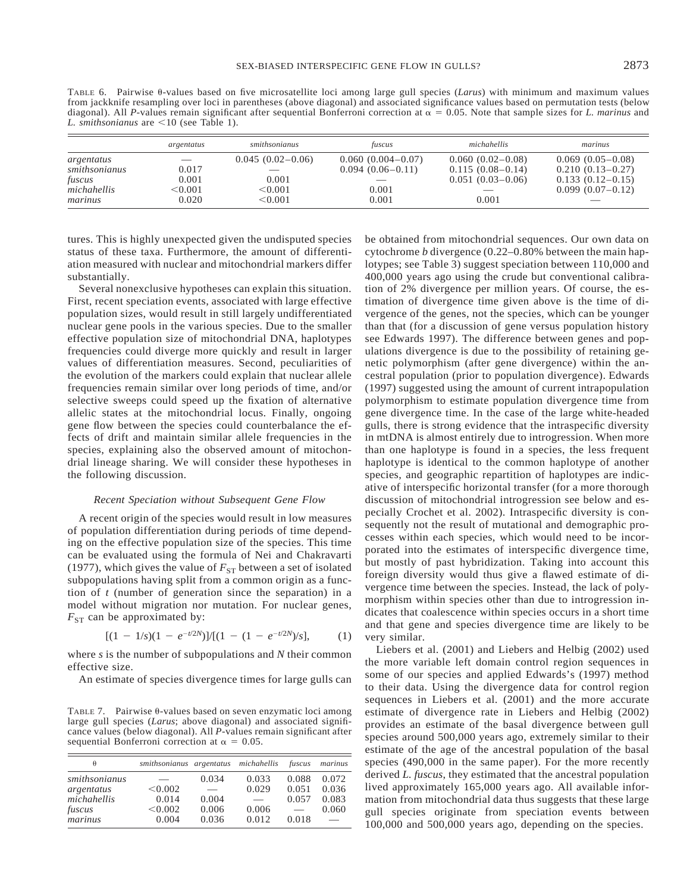TABLE 6. Pairwise 0-values based on five microsatellite loci among large gull species (*Larus*) with minimum and maximum values from jackknife resampling over loci in parentheses (above diagonal) and associated significance values based on permutation tests (below diagonal). All *P*-values remain significant after sequential Bonferroni correction at  $\alpha = 0.05$ . Note that sample sizes for *L. marinus* and *L. smithsonianus* are <10 (see Table 1).

|               | argentatus | smithsonianus      | fuscus                | michahellis        | marinus            |
|---------------|------------|--------------------|-----------------------|--------------------|--------------------|
| argentatus    |            | $0.045(0.02-0.06)$ | $0.060(0.004 - 0.07)$ | $0.060(0.02-0.08)$ | $0.069(0.05-0.08)$ |
| smithsonianus | 0.017      |                    | $0.094(0.06-0.11)$    | $0.115(0.08-0.14)$ | $0.210(0.13-0.27)$ |
| fuscus        | 0.001      | 0.001              |                       | $0.051(0.03-0.06)$ | $0.133(0.12-0.15)$ |
| michahellis   | < 0.001    | < 0.001            | 0.001                 |                    | $0.099(0.07-0.12)$ |
| marinus       | 0.020      | < 0.001            | 0.001                 | 0.001              |                    |

tures. This is highly unexpected given the undisputed species status of these taxa. Furthermore, the amount of differentiation measured with nuclear and mitochondrial markers differ substantially.

Several nonexclusive hypotheses can explain this situation. First, recent speciation events, associated with large effective population sizes, would result in still largely undifferentiated nuclear gene pools in the various species. Due to the smaller effective population size of mitochondrial DNA, haplotypes frequencies could diverge more quickly and result in larger values of differentiation measures. Second, peculiarities of the evolution of the markers could explain that nuclear allele frequencies remain similar over long periods of time, and/or selective sweeps could speed up the fixation of alternative allelic states at the mitochondrial locus. Finally, ongoing gene flow between the species could counterbalance the effects of drift and maintain similar allele frequencies in the species, explaining also the observed amount of mitochondrial lineage sharing. We will consider these hypotheses in the following discussion.

# *Recent Speciation without Subsequent Gene Flow*

A recent origin of the species would result in low measures of population differentiation during periods of time depending on the effective population size of the species. This time can be evaluated using the formula of Nei and Chakravarti (1977), which gives the value of  $F_{ST}$  between a set of isolated subpopulations having split from a common origin as a function of *t* (number of generation since the separation) in a model without migration nor mutation. For nuclear genes,  $F_{ST}$  can be approximated by:

$$
[(1 - 1/s)(1 - e^{-t/2N})]/[(1 - (1 - e^{-t/2N})/s], \qquad (1)
$$

where *s* is the number of subpopulations and *N* their common effective size.

An estimate of species divergence times for large gulls can

TABLE 7. Pairwise  $\theta$ -values based on seven enzymatic loci among large gull species (*Larus*; above diagonal) and associated significance values (below diagonal). All *P*-values remain significant after sequential Bonferroni correction at  $\alpha = 0.05$ .

| $\theta$      | smithsonianus argentatus michahellis |       |       | fuscus | marinus                  |
|---------------|--------------------------------------|-------|-------|--------|--------------------------|
| smithsonianus |                                      | 0.034 | 0.033 | 0.088  | 0.072                    |
| argentatus    | < 0.002                              |       | 0.029 | 0.051  | 0.036                    |
| michahellis   | 0.014                                | 0.004 |       | 0.057  | 0.083                    |
| fuscus        | < 0.002                              | 0.006 | 0.006 |        | 0.060                    |
| marinus       | 0.004                                | 0.036 | 0.012 | 0.018  | $\overline{\phantom{0}}$ |

be obtained from mitochondrial sequences. Our own data on cytochrome *b* divergence (0.22–0.80% between the main haplotypes; see Table 3) suggest speciation between 110,000 and 400,000 years ago using the crude but conventional calibration of 2% divergence per million years. Of course, the estimation of divergence time given above is the time of divergence of the genes, not the species, which can be younger than that (for a discussion of gene versus population history see Edwards 1997). The difference between genes and populations divergence is due to the possibility of retaining genetic polymorphism (after gene divergence) within the ancestral population (prior to population divergence). Edwards (1997) suggested using the amount of current intrapopulation polymorphism to estimate population divergence time from gene divergence time. In the case of the large white-headed gulls, there is strong evidence that the intraspecific diversity in mtDNA is almost entirely due to introgression. When more than one haplotype is found in a species, the less frequent haplotype is identical to the common haplotype of another species, and geographic repartition of haplotypes are indicative of interspecific horizontal transfer (for a more thorough discussion of mitochondrial introgression see below and especially Crochet et al. 2002). Intraspecific diversity is consequently not the result of mutational and demographic processes within each species, which would need to be incorporated into the estimates of interspecific divergence time, but mostly of past hybridization. Taking into account this foreign diversity would thus give a flawed estimate of divergence time between the species. Instead, the lack of polymorphism within species other than due to introgression indicates that coalescence within species occurs in a short time and that gene and species divergence time are likely to be very similar.

Liebers et al. (2001) and Liebers and Helbig (2002) used the more variable left domain control region sequences in some of our species and applied Edwards's (1997) method to their data. Using the divergence data for control region sequences in Liebers et al. (2001) and the more accurate estimate of divergence rate in Liebers and Helbig (2002) provides an estimate of the basal divergence between gull species around 500,000 years ago, extremely similar to their estimate of the age of the ancestral population of the basal species (490,000 in the same paper). For the more recently derived *L. fuscus*, they estimated that the ancestral population lived approximately 165,000 years ago. All available information from mitochondrial data thus suggests that these large gull species originate from speciation events between 100,000 and 500,000 years ago, depending on the species.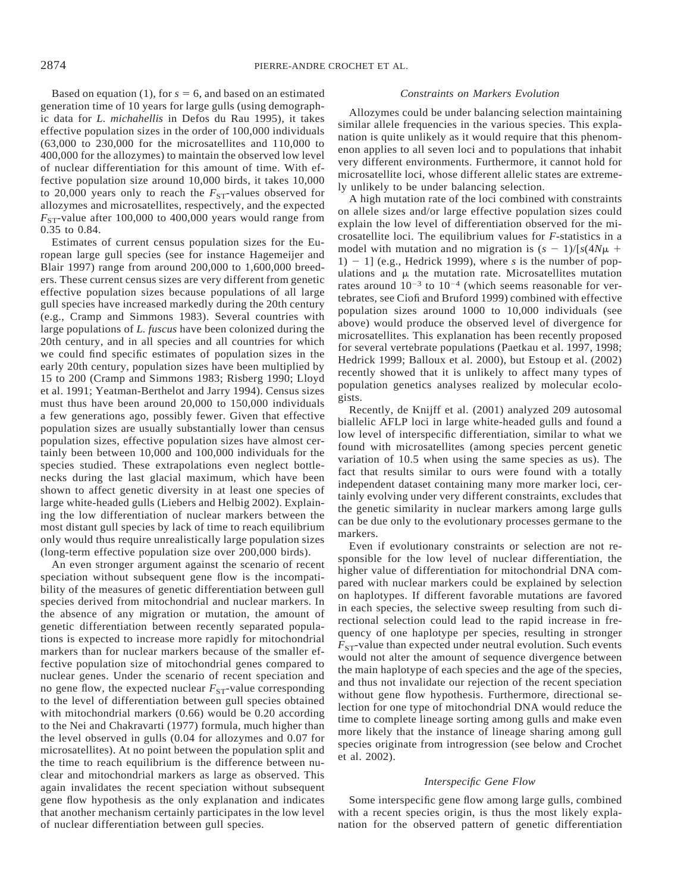Based on equation (1), for  $s = 6$ , and based on an estimated generation time of 10 years for large gulls (using demographic data for *L. michahellis* in Defos du Rau 1995), it takes effective population sizes in the order of 100,000 individuals (63,000 to 230,000 for the microsatellites and 110,000 to 400,000 for the allozymes) to maintain the observed low level of nuclear differentiation for this amount of time. With effective population size around 10,000 birds, it takes 10,000 to 20,000 years only to reach the  $F_{ST}$ -values observed for allozymes and microsatellites, respectively, and the expected  $F_{ST}$ -value after 100,000 to 400,000 years would range from 0.35 to 0.84.

Estimates of current census population sizes for the European large gull species (see for instance Hagemeijer and Blair 1997) range from around 200,000 to 1,600,000 breeders. These current census sizes are very different from genetic effective population sizes because populations of all large gull species have increased markedly during the 20th century (e.g., Cramp and Simmons 1983). Several countries with large populations of *L. fuscus* have been colonized during the 20th century, and in all species and all countries for which we could find specific estimates of population sizes in the early 20th century, population sizes have been multiplied by 15 to 200 (Cramp and Simmons 1983; Risberg 1990; Lloyd et al. 1991; Yeatman-Berthelot and Jarry 1994). Census sizes must thus have been around 20,000 to 150,000 individuals a few generations ago, possibly fewer. Given that effective population sizes are usually substantially lower than census population sizes, effective population sizes have almost certainly been between 10,000 and 100,000 individuals for the species studied. These extrapolations even neglect bottlenecks during the last glacial maximum, which have been shown to affect genetic diversity in at least one species of large white-headed gulls (Liebers and Helbig 2002). Explaining the low differentiation of nuclear markers between the most distant gull species by lack of time to reach equilibrium only would thus require unrealistically large population sizes (long-term effective population size over 200,000 birds).

An even stronger argument against the scenario of recent speciation without subsequent gene flow is the incompatibility of the measures of genetic differentiation between gull species derived from mitochondrial and nuclear markers. In the absence of any migration or mutation, the amount of genetic differentiation between recently separated populations is expected to increase more rapidly for mitochondrial markers than for nuclear markers because of the smaller effective population size of mitochondrial genes compared to nuclear genes. Under the scenario of recent speciation and no gene flow, the expected nuclear  $F_{ST}$ -value corresponding to the level of differentiation between gull species obtained with mitochondrial markers (0.66) would be 0.20 according to the Nei and Chakravarti (1977) formula, much higher than the level observed in gulls (0.04 for allozymes and 0.07 for microsatellites). At no point between the population split and the time to reach equilibrium is the difference between nuclear and mitochondrial markers as large as observed. This again invalidates the recent speciation without subsequent gene flow hypothesis as the only explanation and indicates that another mechanism certainly participates in the low level of nuclear differentiation between gull species.

# *Constraints on Markers Evolution*

Allozymes could be under balancing selection maintaining similar allele frequencies in the various species. This explanation is quite unlikely as it would require that this phenomenon applies to all seven loci and to populations that inhabit very different environments. Furthermore, it cannot hold for microsatellite loci, whose different allelic states are extremely unlikely to be under balancing selection.

A high mutation rate of the loci combined with constraints on allele sizes and/or large effective population sizes could explain the low level of differentiation observed for the microsatellite loci. The equilibrium values for *F*-statistics in a model with mutation and no migration is  $(s - 1)/[s(4N\mu +$  $1) - 1$ ] (e.g., Hedrick 1999), where *s* is the number of populations and  $\mu$  the mutation rate. Microsatellites mutation rates around  $10^{-3}$  to  $10^{-4}$  (which seems reasonable for vertebrates, see Ciofi and Bruford 1999) combined with effective population sizes around 1000 to 10,000 individuals (see above) would produce the observed level of divergence for microsatellites. This explanation has been recently proposed for several vertebrate populations (Paetkau et al. 1997, 1998; Hedrick 1999; Balloux et al. 2000), but Estoup et al. (2002) recently showed that it is unlikely to affect many types of population genetics analyses realized by molecular ecologists.

Recently, de Knijff et al. (2001) analyzed 209 autosomal biallelic AFLP loci in large white-headed gulls and found a low level of interspecific differentiation, similar to what we found with microsatellites (among species percent genetic variation of 10.5 when using the same species as us). The fact that results similar to ours were found with a totally independent dataset containing many more marker loci, certainly evolving under very different constraints, excludes that the genetic similarity in nuclear markers among large gulls can be due only to the evolutionary processes germane to the markers.

Even if evolutionary constraints or selection are not responsible for the low level of nuclear differentiation, the higher value of differentiation for mitochondrial DNA compared with nuclear markers could be explained by selection on haplotypes. If different favorable mutations are favored in each species, the selective sweep resulting from such directional selection could lead to the rapid increase in frequency of one haplotype per species, resulting in stronger  $F_{ST}$ -value than expected under neutral evolution. Such events would not alter the amount of sequence divergence between the main haplotype of each species and the age of the species, and thus not invalidate our rejection of the recent speciation without gene flow hypothesis. Furthermore, directional selection for one type of mitochondrial DNA would reduce the time to complete lineage sorting among gulls and make even more likely that the instance of lineage sharing among gull species originate from introgression (see below and Crochet et al. 2002).

# *Interspecific Gene Flow*

Some interspecific gene flow among large gulls, combined with a recent species origin, is thus the most likely explanation for the observed pattern of genetic differentiation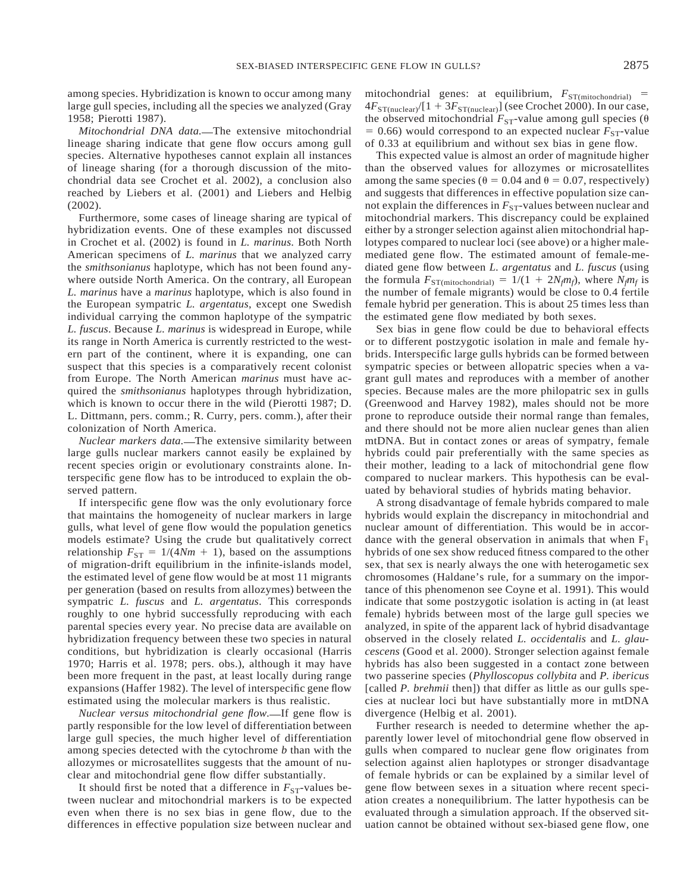among species. Hybridization is known to occur among many large gull species, including all the species we analyzed (Gray 1958; Pierotti 1987).

*Mitochondrial DNA data.* The extensive mitochondrial lineage sharing indicate that gene flow occurs among gull species. Alternative hypotheses cannot explain all instances of lineage sharing (for a thorough discussion of the mitochondrial data see Crochet et al. 2002), a conclusion also reached by Liebers et al. (2001) and Liebers and Helbig (2002).

Furthermore, some cases of lineage sharing are typical of hybridization events. One of these examples not discussed in Crochet et al. (2002) is found in *L. marinus*. Both North American specimens of *L. marinus* that we analyzed carry the *smithsonianus* haplotype, which has not been found anywhere outside North America. On the contrary, all European *L. marinus* have a *marinus* haplotype, which is also found in the European sympatric *L. argentatus*, except one Swedish individual carrying the common haplotype of the sympatric *L. fuscus*. Because *L. marinus* is widespread in Europe, while its range in North America is currently restricted to the western part of the continent, where it is expanding, one can suspect that this species is a comparatively recent colonist from Europe. The North American *marinus* must have acquired the *smithsonianus* haplotypes through hybridization, which is known to occur there in the wild (Pierotti 1987; D. L. Dittmann, pers. comm.; R. Curry, pers. comm.), after their colonization of North America.

*Nuclear markers data.* The extensive similarity between large gulls nuclear markers cannot easily be explained by recent species origin or evolutionary constraints alone. Interspecific gene flow has to be introduced to explain the observed pattern.

If interspecific gene flow was the only evolutionary force that maintains the homogeneity of nuclear markers in large gulls, what level of gene flow would the population genetics models estimate? Using the crude but qualitatively correct relationship  $F_{ST} = 1/(4Nm + 1)$ , based on the assumptions of migration-drift equilibrium in the infinite-islands model, the estimated level of gene flow would be at most 11 migrants per generation (based on results from allozymes) between the sympatric *L. fuscus* and *L. argentatus*. This corresponds roughly to one hybrid successfully reproducing with each parental species every year. No precise data are available on hybridization frequency between these two species in natural conditions, but hybridization is clearly occasional (Harris 1970; Harris et al. 1978; pers. obs.), although it may have been more frequent in the past, at least locally during range expansions (Haffer 1982). The level of interspecific gene flow estimated using the molecular markers is thus realistic.

*Nuclear versus mitochondrial gene flow.*—If gene flow is partly responsible for the low level of differentiation between large gull species, the much higher level of differentiation among species detected with the cytochrome *b* than with the allozymes or microsatellites suggests that the amount of nuclear and mitochondrial gene flow differ substantially.

It should first be noted that a difference in  $F_{ST}$ -values between nuclear and mitochondrial markers is to be expected even when there is no sex bias in gene flow, due to the differences in effective population size between nuclear and mitochondrial genes: at equilibrium,  $F_{ST(mitochondrial)}$  =  $4F_{ST(nuclear)}[1 + 3F_{ST(nuclear)}]$  (see Crochet 2000). In our case, the observed mitochondrial  $F_{ST}$ -value among gull species ( $\theta$  $= 0.66$ ) would correspond to an expected nuclear  $F_{ST}$ -value of 0.33 at equilibrium and without sex bias in gene flow.

This expected value is almost an order of magnitude higher than the observed values for allozymes or microsatellites among the same species ( $\theta = 0.04$  and  $\theta = 0.07$ , respectively) and suggests that differences in effective population size cannot explain the differences in  $F_{ST}$ -values between nuclear and mitochondrial markers. This discrepancy could be explained either by a stronger selection against alien mitochondrial haplotypes compared to nuclear loci (see above) or a higher malemediated gene flow. The estimated amount of female-mediated gene flow between *L. argentatus* and *L. fuscus* (using the formula  $F_{ST(mitochondrial)} = 1/(1 + 2N_f m_f)$ , where  $N_f m_f$  is the number of female migrants) would be close to 0.4 fertile female hybrid per generation. This is about 25 times less than the estimated gene flow mediated by both sexes.

Sex bias in gene flow could be due to behavioral effects or to different postzygotic isolation in male and female hybrids. Interspecific large gulls hybrids can be formed between sympatric species or between allopatric species when a vagrant gull mates and reproduces with a member of another species. Because males are the more philopatric sex in gulls (Greenwood and Harvey 1982), males should not be more prone to reproduce outside their normal range than females, and there should not be more alien nuclear genes than alien mtDNA. But in contact zones or areas of sympatry, female hybrids could pair preferentially with the same species as their mother, leading to a lack of mitochondrial gene flow compared to nuclear markers. This hypothesis can be evaluated by behavioral studies of hybrids mating behavior.

A strong disadvantage of female hybrids compared to male hybrids would explain the discrepancy in mitochondrial and nuclear amount of differentiation. This would be in accordance with the general observation in animals that when  $F_1$ hybrids of one sex show reduced fitness compared to the other sex, that sex is nearly always the one with heterogametic sex chromosomes (Haldane's rule, for a summary on the importance of this phenomenon see Coyne et al. 1991). This would indicate that some postzygotic isolation is acting in (at least female) hybrids between most of the large gull species we analyzed, in spite of the apparent lack of hybrid disadvantage observed in the closely related *L. occidentalis* and *L. glaucescens* (Good et al. 2000). Stronger selection against female hybrids has also been suggested in a contact zone between two passerine species (*Phylloscopus collybita* and *P. ibericus* [called *P. brehmii* then]) that differ as little as our gulls species at nuclear loci but have substantially more in mtDNA divergence (Helbig et al. 2001).

Further research is needed to determine whether the apparently lower level of mitochondrial gene flow observed in gulls when compared to nuclear gene flow originates from selection against alien haplotypes or stronger disadvantage of female hybrids or can be explained by a similar level of gene flow between sexes in a situation where recent speciation creates a nonequilibrium. The latter hypothesis can be evaluated through a simulation approach. If the observed situation cannot be obtained without sex-biased gene flow, one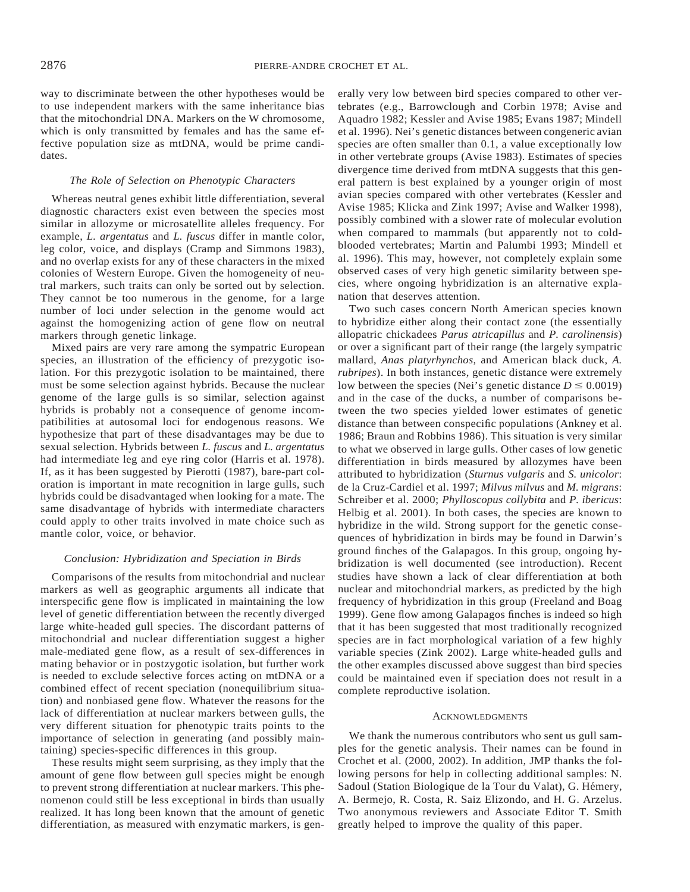way to discriminate between the other hypotheses would be to use independent markers with the same inheritance bias that the mitochondrial DNA. Markers on the W chromosome, which is only transmitted by females and has the same effective population size as mtDNA, would be prime candidates.

### *The Role of Selection on Phenotypic Characters*

Whereas neutral genes exhibit little differentiation, several diagnostic characters exist even between the species most similar in allozyme or microsatellite alleles frequency. For example, *L. argentatus* and *L. fuscus* differ in mantle color, leg color, voice, and displays (Cramp and Simmons 1983), and no overlap exists for any of these characters in the mixed colonies of Western Europe. Given the homogeneity of neutral markers, such traits can only be sorted out by selection. They cannot be too numerous in the genome, for a large number of loci under selection in the genome would act against the homogenizing action of gene flow on neutral markers through genetic linkage.

Mixed pairs are very rare among the sympatric European species, an illustration of the efficiency of prezygotic isolation. For this prezygotic isolation to be maintained, there must be some selection against hybrids. Because the nuclear genome of the large gulls is so similar, selection against hybrids is probably not a consequence of genome incompatibilities at autosomal loci for endogenous reasons. We hypothesize that part of these disadvantages may be due to sexual selection. Hybrids between *L. fuscus* and *L. argentatus* had intermediate leg and eye ring color (Harris et al. 1978). If, as it has been suggested by Pierotti (1987), bare-part coloration is important in mate recognition in large gulls, such hybrids could be disadvantaged when looking for a mate. The same disadvantage of hybrids with intermediate characters could apply to other traits involved in mate choice such as mantle color, voice, or behavior.

# *Conclusion: Hybridization and Speciation in Birds*

Comparisons of the results from mitochondrial and nuclear markers as well as geographic arguments all indicate that interspecific gene flow is implicated in maintaining the low level of genetic differentiation between the recently diverged large white-headed gull species. The discordant patterns of mitochondrial and nuclear differentiation suggest a higher male-mediated gene flow, as a result of sex-differences in mating behavior or in postzygotic isolation, but further work is needed to exclude selective forces acting on mtDNA or a combined effect of recent speciation (nonequilibrium situation) and nonbiased gene flow. Whatever the reasons for the lack of differentiation at nuclear markers between gulls, the very different situation for phenotypic traits points to the importance of selection in generating (and possibly maintaining) species-specific differences in this group.

These results might seem surprising, as they imply that the amount of gene flow between gull species might be enough to prevent strong differentiation at nuclear markers. This phenomenon could still be less exceptional in birds than usually realized. It has long been known that the amount of genetic differentiation, as measured with enzymatic markers, is generally very low between bird species compared to other vertebrates (e.g., Barrowclough and Corbin 1978; Avise and Aquadro 1982; Kessler and Avise 1985; Evans 1987; Mindell et al. 1996). Nei's genetic distances between congeneric avian species are often smaller than 0.1, a value exceptionally low in other vertebrate groups (Avise 1983). Estimates of species divergence time derived from mtDNA suggests that this general pattern is best explained by a younger origin of most avian species compared with other vertebrates (Kessler and Avise 1985; Klicka and Zink 1997; Avise and Walker 1998), possibly combined with a slower rate of molecular evolution when compared to mammals (but apparently not to coldblooded vertebrates; Martin and Palumbi 1993; Mindell et al. 1996). This may, however, not completely explain some observed cases of very high genetic similarity between species, where ongoing hybridization is an alternative explanation that deserves attention.

Two such cases concern North American species known to hybridize either along their contact zone (the essentially allopatric chickadees *Parus atricapillus* and *P. carolinensis*) or over a significant part of their range (the largely sympatric mallard, *Anas platyrhynchos*, and American black duck, *A. rubripes*). In both instances, genetic distance were extremely low between the species (Nei's genetic distance  $D \le 0.0019$ ) and in the case of the ducks, a number of comparisons between the two species yielded lower estimates of genetic distance than between conspecific populations (Ankney et al. 1986; Braun and Robbins 1986). This situation is very similar to what we observed in large gulls. Other cases of low genetic differentiation in birds measured by allozymes have been attributed to hybridization (*Sturnus vulgaris* and *S. unicolor*: de la Cruz-Cardiel et al. 1997; *Milvus milvus* and *M. migrans*: Schreiber et al. 2000; *Phylloscopus collybita* and *P. ibericus*: Helbig et al. 2001). In both cases, the species are known to hybridize in the wild. Strong support for the genetic consequences of hybridization in birds may be found in Darwin's ground finches of the Galapagos. In this group, ongoing hybridization is well documented (see introduction). Recent studies have shown a lack of clear differentiation at both nuclear and mitochondrial markers, as predicted by the high frequency of hybridization in this group (Freeland and Boag 1999). Gene flow among Galapagos finches is indeed so high that it has been suggested that most traditionally recognized species are in fact morphological variation of a few highly variable species (Zink 2002). Large white-headed gulls and the other examples discussed above suggest than bird species could be maintained even if speciation does not result in a complete reproductive isolation.

#### **ACKNOWLEDGMENTS**

We thank the numerous contributors who sent us gull samples for the genetic analysis. Their names can be found in Crochet et al. (2000, 2002). In addition, JMP thanks the following persons for help in collecting additional samples: N. Sadoul (Station Biologique de la Tour du Valat), G. Hémery, A. Bermejo, R. Costa, R. Saiz Elizondo, and H. G. Arzelus. Two anonymous reviewers and Associate Editor T. Smith greatly helped to improve the quality of this paper.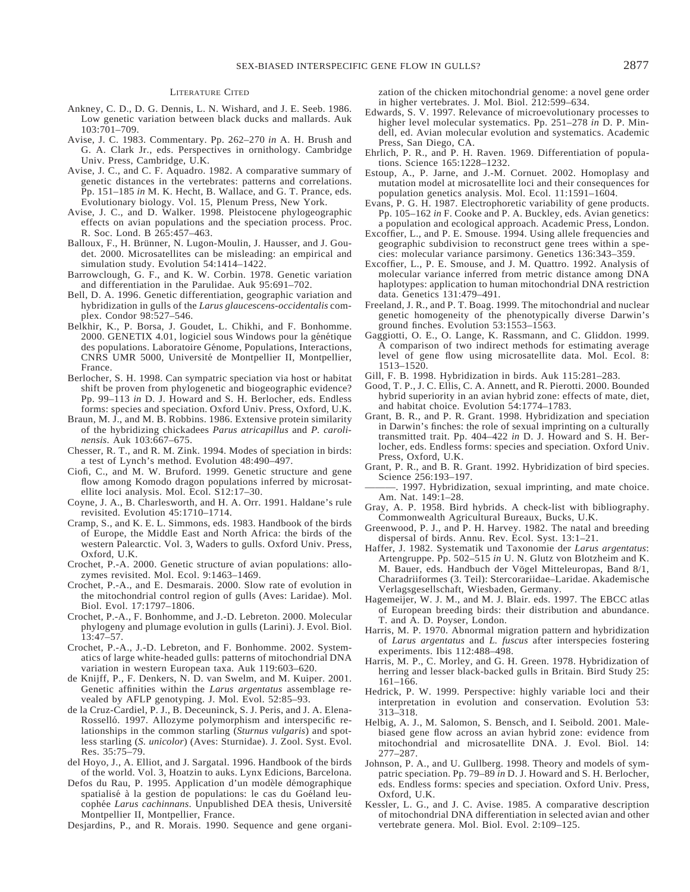#### LITERATURE CITED

- Ankney, C. D., D. G. Dennis, L. N. Wishard, and J. E. Seeb. 1986. Low genetic variation between black ducks and mallards. Auk 103:701–709.
- Avise, J. C. 1983. Commentary. Pp. 262–270 *in* A. H. Brush and G. A. Clark Jr., eds. Perspectives in ornithology. Cambridge Univ. Press, Cambridge, U.K.
- Avise, J. C., and C. F. Aquadro. 1982. A comparative summary of genetic distances in the vertebrates: patterns and correlations. Pp. 151–185 *in* M. K. Hecht, B. Wallace, and G. T. Prance, eds. Evolutionary biology. Vol. 15, Plenum Press, New York.
- Avise, J. C., and D. Walker. 1998. Pleistocene phylogeographic effects on avian populations and the speciation process. Proc. R. Soc. Lond. B 265:457–463.
- Balloux, F., H. Brünner, N. Lugon-Moulin, J. Hausser, and J. Goudet. 2000. Microsatellites can be misleading: an empirical and simulation study. Evolution 54:1414–1422.
- Barrowclough, G. F., and K. W. Corbin. 1978. Genetic variation and differentiation in the Parulidae. Auk 95:691–702.
- Bell, D. A. 1996. Genetic differentiation, geographic variation and hybridization in gulls of the *Larus glaucescens*-*occidentalis* complex. Condor 98:527–546.
- Belkhir, K., P. Borsa, J. Goudet, L. Chikhi, and F. Bonhomme.  $2000$ . GENETIX 4.01, logiciel sous Windows pour la génétique des populations. Laboratoire Génome, Populations, Interactions, CNRS UMR 5000, Universite´ de Montpellier II, Montpellier, France.
- Berlocher, S. H. 1998. Can sympatric speciation via host or habitat shift be proven from phylogenetic and biogeographic evidence? Pp. 99–113 *in* D. J. Howard and S. H. Berlocher, eds. Endless forms: species and speciation. Oxford Univ. Press, Oxford, U.K.
- Braun, M. J., and M. B. Robbins. 1986. Extensive protein similarity of the hybridizing chickadees *Parus atricapillus* and *P. carolinensis*. Auk 103:667–675.
- Chesser, R. T., and R. M. Zink. 1994. Modes of speciation in birds: a test of Lynch's method. Evolution 48:490–497.
- Ciofi, C., and M. W. Bruford. 1999. Genetic structure and gene flow among Komodo dragon populations inferred by microsatellite loci analysis. Mol. Ecol. S12:17–30.
- Coyne, J. A., B. Charlesworth, and H. A. Orr. 1991. Haldane's rule revisited. Evolution 45:1710–1714.
- Cramp, S., and K. E. L. Simmons, eds. 1983. Handbook of the birds of Europe, the Middle East and North Africa: the birds of the western Palearctic. Vol. 3, Waders to gulls. Oxford Univ. Press, Oxford, U.K.
- Crochet, P.-A. 2000. Genetic structure of avian populations: allozymes revisited. Mol. Ecol. 9:1463–1469.
- Crochet, P.-A., and E. Desmarais. 2000. Slow rate of evolution in the mitochondrial control region of gulls (Aves: Laridae). Mol. Biol. Evol. 17:1797–1806.
- Crochet, P.-A., F. Bonhomme, and J.-D. Lebreton. 2000. Molecular phylogeny and plumage evolution in gulls (Larini). J. Evol. Biol. 13:47–57.
- Crochet, P.-A., J.-D. Lebreton, and F. Bonhomme. 2002. Systematics of large white-headed gulls: patterns of mitochondrial DNA variation in western European taxa. Auk 119:603–620.
- de Knijff, P., F. Denkers, N. D. van Swelm, and M. Kuiper. 2001. Genetic affinities within the *Larus argentatus* assemblage revealed by AFLP genotyping. J. Mol. Evol. 52:85–93.
- de la Cruz-Cardiel, P. J., B. Deceuninck, S. J. Peris, and J. A. Elena-Rosselló. 1997. Allozyme polymorphism and interspecific relationships in the common starling (*Sturnus vulgaris*) and spotless starling (*S. unicolor*) (Aves: Sturnidae). J. Zool. Syst. Evol. Res. 35:75–79.
- del Hoyo, J., A. Elliot, and J. Sargatal. 1996. Handbook of the birds of the world. Vol. 3, Hoatzin to auks. Lynx Edicions, Barcelona.
- Defos du Rau, P. 1995. Application d'un modèle démographique spatialisé à la gestion de populations: le cas du Goéland leucophée *Larus cachinnans*. Unpublished DEA thesis, Université Montpellier II, Montpellier, France.
- Desjardins, P., and R. Morais. 1990. Sequence and gene organi-

zation of the chicken mitochondrial genome: a novel gene order in higher vertebrates. J. Mol. Biol. 212:599–634.

- Edwards, S. V. 1997. Relevance of microevolutionary processes to higher level molecular systematics. Pp. 251–278 *in* D. P. Mindell, ed. Avian molecular evolution and systematics. Academic Press, San Diego, CA.
- Ehrlich, P. R., and P. H. Raven. 1969. Differentiation of populations. Science 165:1228–1232.
- Estoup, A., P. Jarne, and J.-M. Cornuet. 2002. Homoplasy and mutation model at microsatellite loci and their consequences for population genetics analysis. Mol. Ecol. 11:1591–1604.
- Evans, P. G. H. 1987. Electrophoretic variability of gene products. Pp. 105–162 *in* F. Cooke and P. A. Buckley, eds. Avian genetics: a population and ecological approach. Academic Press, London.
- Excoffier, L., and P. E. Smouse. 1994. Using allele frequencies and geographic subdivision to reconstruct gene trees within a species: molecular variance parsimony. Genetics 136:343–359.
- Excoffier, L., P. E. Smouse, and J. M. Quattro. 1992. Analysis of molecular variance inferred from metric distance among DNA haplotypes: application to human mitochondrial DNA restriction data. Genetics 131:479–491.
- Freeland, J. R., and P. T. Boag. 1999. The mitochondrial and nuclear genetic homogeneity of the phenotypically diverse Darwin's ground finches. Evolution 53:1553–1563.
- Gaggiotti, O. E., O. Lange, K. Rassmann, and C. Gliddon. 1999. A comparison of two indirect methods for estimating average level of gene flow using microsatellite data. Mol. Ecol. 8: 1513–1520.
- Gill, F. B. 1998. Hybridization in birds. Auk 115:281–283.
- Good, T. P., J. C. Ellis, C. A. Annett, and R. Pierotti. 2000. Bounded hybrid superiority in an avian hybrid zone: effects of mate, diet, and habitat choice. Evolution 54:1774–1783.
- Grant, B. R., and P. R. Grant. 1998. Hybridization and speciation in Darwin's finches: the role of sexual imprinting on a culturally transmitted trait. Pp. 404–422 *in* D. J. Howard and S. H. Berlocher, eds. Endless forms: species and speciation. Oxford Univ. Press, Oxford, U.K.
- Grant, P. R., and B. R. Grant. 1992. Hybridization of bird species. Science 256:193–197.
- . 1997. Hybridization, sexual imprinting, and mate choice. Am. Nat. 149:1–28.
- Gray, A. P. 1958. Bird hybrids. A check-list with bibliography. Commonwealth Agricultural Bureaux, Bucks, U.K.
- Greenwood, P. J., and P. H. Harvey. 1982. The natal and breeding dispersal of birds. Annu. Rev. Ecol. Syst. 13:1–21.
- Haffer, J. 1982. Systematik und Taxonomie der *Larus argentatus*: Artengruppe. Pp. 502–515 *in* U. N. Glutz von Blotzheim and K. M. Bauer, eds. Handbuch der Vögel Mitteleuropas, Band 8/1, Charadriiformes (3. Teil): Stercorariidae–Laridae. Akademische Verlagsgesellschaft, Wiesbaden, Germany.
- Hagemeijer, W. J. M., and M. J. Blair. eds. 1997. The EBCC atlas of European breeding birds: their distribution and abundance. T. and A. D. Poyser, London.
- Harris, M. P. 1970. Abnormal migration pattern and hybridization of *Larus argentatus* and *L. fuscus* after interspecies fostering experiments. Ibis 112:488–498.
- Harris, M. P., C. Morley, and G. H. Green. 1978. Hybridization of herring and lesser black-backed gulls in Britain. Bird Study 25: 161–166.
- Hedrick, P. W. 1999. Perspective: highly variable loci and their interpretation in evolution and conservation. Evolution 53: 313–318.
- Helbig, A. J., M. Salomon, S. Bensch, and I. Seibold. 2001. Malebiased gene flow across an avian hybrid zone: evidence from mitochondrial and microsatellite DNA. J. Evol. Biol. 14: 277–287.
- Johnson, P. A., and U. Gullberg. 1998. Theory and models of sympatric speciation. Pp. 79–89 *in* D. J. Howard and S. H. Berlocher, eds. Endless forms: species and speciation. Oxford Univ. Press, Oxford, U.K.
- Kessler, L. G., and J. C. Avise. 1985. A comparative description of mitochondrial DNA differentiation in selected avian and other vertebrate genera. Mol. Biol. Evol. 2:109–125.